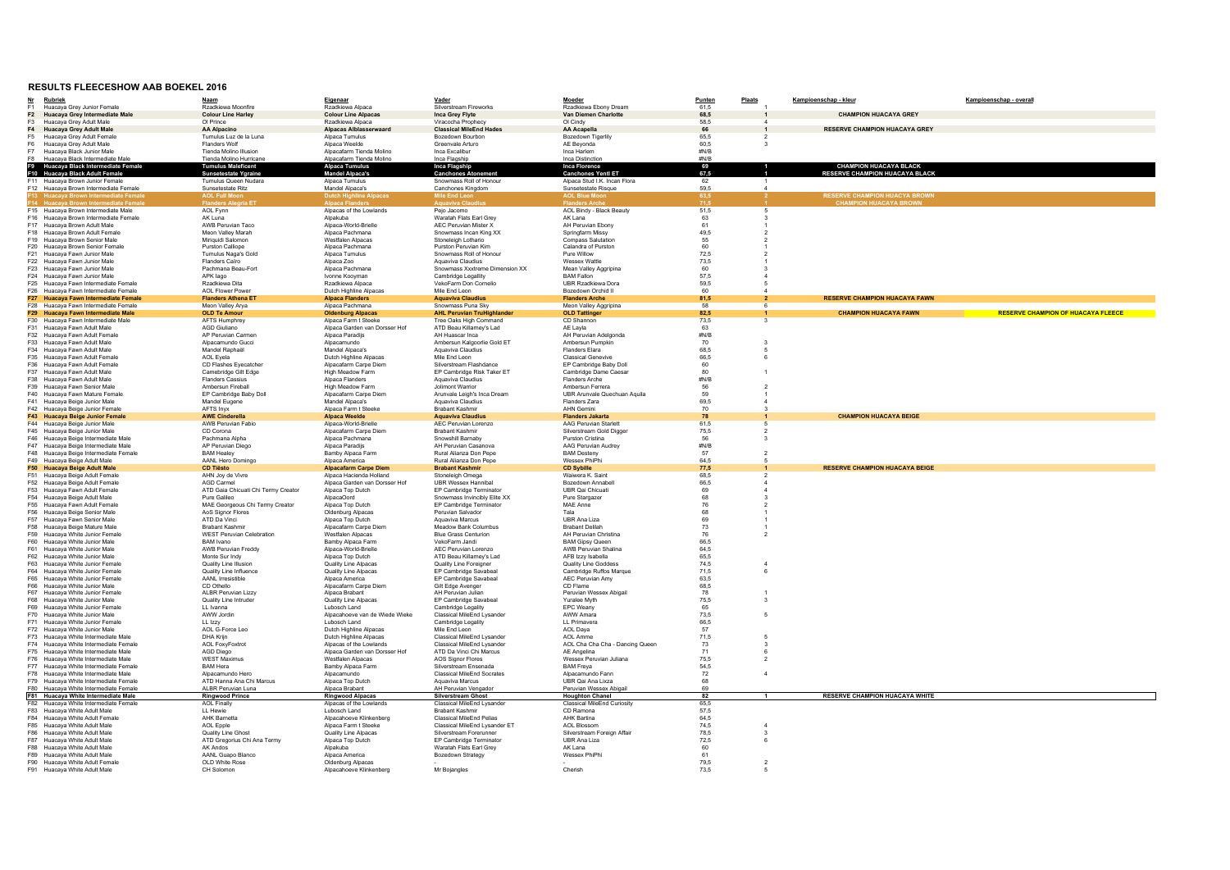## **RESULTS FLEECESHOW AAB BOEKEL 2016**

| <u>Nr</u>      | <b>Rubriek</b>                                                             | <b>Naam</b>                                       | Eigenaar                                                 | Vader                                                  | Moeder                                          | Punten                                  | Plaats         | Kampioenschap - kleur                 | Kampioenschap - overall                   |
|----------------|----------------------------------------------------------------------------|---------------------------------------------------|----------------------------------------------------------|--------------------------------------------------------|-------------------------------------------------|-----------------------------------------|----------------|---------------------------------------|-------------------------------------------|
| F <sub>1</sub> | Huacaya Grey Junior Female                                                 | Rzadkiewa Moonfire                                | Rzadkiewa Alpaca                                         | Silverstream Fireworks                                 | Rzadkiewa Ebony Dream                           | 61,5                                    |                |                                       |                                           |
| F2             | Huacaya Grey Intermediate Male                                             | <b>Colour Line Harley</b>                         | <b>Colour Line Alpacas</b>                               | Inca Grey Flyte                                        | Van Diemen Charlotte                            | 68,5                                    |                | <b>CHAMPION HUACAYA GREY</b>          |                                           |
| F <sub>3</sub> | Huacaya Grey Adult Male                                                    | Ol Prince                                         | Rzadkiewa Alpaca                                         | Viracocha Prophecy                                     | Ol Cindy                                        | 58.5                                    |                |                                       |                                           |
| F4             | <b>Huacaya Grey Adult Male</b>                                             | <b>AA Alpacino</b>                                | <b>Alpacas Alblasserwaard</b>                            | <b>Classical MileEnd Hades</b>                         | <b>AA Acapella</b>                              | 66                                      |                | <b>RESERVE CHAMPION HUACAYA GREY</b>  |                                           |
| F <sub>5</sub> | Huacaya Grey Adult Female                                                  | Tumulus Luz de la Luna                            | Alpaca Tumulus                                           | Bozedown Bourbon                                       | Bozedown Tigerlily                              | 65,5                                    |                |                                       |                                           |
| F6             | Huacaya Grey Adult Male                                                    | <b>Flanders Wolf</b>                              | Alpaca Weelde                                            | Greenvale Arturo                                       | AE Beyonda                                      | 60,5                                    |                |                                       |                                           |
| F7             | Huacaya Black Junior Male<br>F8 Huacava Black Intermediate Male            | Tienda Molino Illusion<br>Tienda Molino Hurricane | Alpacafarm Tienda Molino<br>Alpacafarm Tienda Moling     | Inca Excalibur<br>Inca Flagship                        | Inca Harlem<br>Inca Distinction                 | #N/B<br>#N/B                            |                |                                       |                                           |
|                | Huacaya Black Intermediate Female                                          | <b>Tumulus Maleficen</b>                          | Alpaca Tumulus                                           | Inca Flagship                                          | Inca Florence                                   |                                         |                | <b>CHAMPION HUACAYA BLACK</b>         |                                           |
|                | F10 Huacaya Black Adult Female                                             | Sunsetestate Ygraine                              | <b>Mandel Alpaca's</b>                                   | <b>Canchones Atonement</b>                             | <b>Canchones Yentl ET</b>                       | 69<br>67,5                              |                | <b>RESERVE CHAMPION HUACAYA BLACK</b> |                                           |
|                | F11 Huacaya Brown Junior Female                                            | Tumulus Queen Nudara                              | Alpaca Tumulus                                           | Snowmass Roll of Honour                                | Alpaca Stud I.K. Incan Flora                    | 62                                      |                |                                       |                                           |
|                | F12 Huacava Brown Intermediate Female                                      | Sunsetestate Ritz                                 | Mandel Alpaca's                                          | Canchones Kingdom                                      | Sunsetestate Risque                             | 59.5                                    |                |                                       |                                           |
|                | uacaya Brown Intermediate Femal                                            | <b>AOL Full Mo</b>                                | <b>Outch Highline Alpacas</b>                            | Mile End Leo                                           | <b>AOL Blue Mo</b>                              | 63,5                                    |                | <b>RESERVE CHAMPION HUACYA BROWN</b>  |                                           |
|                | 14 Huacava Brown Inter                                                     | <b>Flanders Alegria E1</b>                        |                                                          |                                                        |                                                 | 71,5                                    |                | <b>CHAMPION HUACAYA BROWN</b>         |                                           |
|                | F15 Huacaya Brown Intermediate Male                                        | AOL Fynn                                          | Alpacas of the Lowlands                                  | Pejo Jacomo                                            | <b>AOL Bindy - Black Beauty</b>                 | 51,5                                    |                |                                       |                                           |
|                | F16 Huacaya Brown Intermediate Female                                      | AK Luna                                           | Alpakuba                                                 | Waratah Flats Earl Grey                                | AK Lana                                         | 63                                      |                |                                       |                                           |
|                | F17 Huacaya Brown Adult Male<br>F18 Huacava Brown Adult Female             | AWB Peruvian Taco<br>Meon Valley Marah            | Alpaca-World-Brielle<br>Alpaca Pachmana                  | <b>AEC Peruvian Mister X</b><br>Snowmass Incan King XX | AH Peruvian Ebony                               | 61                                      |                |                                       |                                           |
|                | F19 Huacaya Brown Senior Male                                              | Miriquidi Salomon                                 | Westfalen Alpacas                                        | Stoneleigh Lothario                                    | Springfarm Missy<br>Compass Salutation          | 49,5<br>55                              |                |                                       |                                           |
|                | F20 Huacaya Brown Senior Female                                            | Purston Calliope                                  | Alpaca Pachmana                                          | Purston Peruvian Kim                                   | Calandra of Purston                             | 60                                      |                |                                       |                                           |
|                | F21 Huacaya Fawn Junior Male                                               | Tumulus Naga's Gold                               | Alpaca Tumulus                                           | Snowmass Roll of Honour                                | Pure Willow                                     | 72,5                                    |                |                                       |                                           |
|                | F22 Huacaya Fawn Junior Male                                               | Flanders Caïro                                    | Alpaca Zoo                                               | Aguaviva Claudius                                      | Wessex Wattle                                   | 73,5                                    |                |                                       |                                           |
|                | F23 Huacaya Fawn Junior Male                                               | Pachmana Beau-Fort                                | Alpaca Pachmana                                          | Snowmass Xxxtreme Dimension XX                         | Mean Valley Aggripina                           | 60                                      |                |                                       |                                           |
|                | F24 Huacaya Fawn Junior Male                                               | APK lago                                          | Ivonne Koovman                                           | Cambridge Legallity                                    | <b>BAM Fallon</b>                               | 57,5                                    |                |                                       |                                           |
|                | F25 Huacaya Fawn Intermediate Female                                       | Rzadkiewa Dita                                    | Rzadkiewa Alpaca                                         | VekoFarm Don Cornelio                                  | UBR Rzadkiewa Dora                              | 59.5                                    |                |                                       |                                           |
|                | F26 Huacava Fawn Intermediate Female                                       | <b>AOL Flower Power</b>                           | Dutch Highline Alpacas                                   | Mile End Leon                                          | Bozedown Orchid II                              | 60                                      |                |                                       |                                           |
|                | F27 Huacaya Fawn Intermediate Female                                       | <b>Flanders Athena ET</b>                         | <b>Alpaca Flanders</b>                                   | <b>Aquaviva Claudius</b>                               | <b>Flanders Arche</b>                           | 81,5                                    |                | <b>RESERVE CHAMPION HUACAYA FAWN</b>  |                                           |
|                | F28 Huacaya Fawn Intermediate Female<br>F29 Huacaya Fawn Intermediate Male | Meon Valley Arya<br><b>OLD Te Amour</b>           | Alpaca Pachmana<br><b>Oldenburg Alpacas</b>              | Snowmass Puna Sky<br><b>AHL Peruvian TruHighlande</b>  | Meon Valley Aggripina<br><b>OLD Tattinger</b>   | 58<br>82,5                              |                | <b>CHAMPION HUACAYA FAWN</b>          | <b>RESERVE CHAMPION OF HUACAYA FLEECE</b> |
|                | F30 Huacaya Fawn Intermediate Male                                         | AFTS Humphrey                                     | Alpaca Farm t Steeke                                     | Tree Oaks High Command                                 | CD Shannon                                      | 73,5                                    |                |                                       |                                           |
|                | F31 Huacaya Fawn Adult Male                                                | AGD Giuliano                                      | Alpaca Garden van Dorsser Hof                            | ATD Beau Killarney's Lad                               | AE Layla                                        | 63                                      |                |                                       |                                           |
|                | F32 Huacaya Fawn Adult Female                                              | AP Peruvian Carmen                                | Alpaca Paradijs                                          | AH Huascar Inca                                        | AH Peruvian Adelgonda                           | #N/B                                    |                |                                       |                                           |
|                | F33 Huacava Fawn Adult Male                                                | Alpacamundo Gucci                                 | Alpacamundo                                              | Ambersun Kalgoorlie Gold ET                            | Ambersun Pumpkin                                | 70                                      |                |                                       |                                           |
|                | F34 Huacava Fawn Adult Male                                                | Mandel Raphaël                                    | Mandel Alpaca's                                          | Aquaviva Claudius                                      | <b>Flanders Elara</b>                           | 68,5                                    |                |                                       |                                           |
|                | F35 Huacaya Fawn Adult Female                                              | AOL Eyela                                         | Dutch Highline Alpacas                                   | Mile End Leon                                          | <b>Classical Genevive</b>                       | 66,5                                    |                |                                       |                                           |
|                | F36 Huacaya Fawn Adult Female                                              | CD Flashes Eyecatcher                             | Alpacafarm Carpe Diem                                    | Silverstream Flashdance                                | EP Cambridge Baby Doll                          | 60                                      |                |                                       |                                           |
|                | F37 Huacaya Fawn Adult Male                                                | Camebridge Gilt Edge                              | High Meadow Farm                                         | EP Cambridge Risk Taker ET                             | Cambridge Dame Caesar                           | 80                                      |                |                                       |                                           |
|                | F38 Huacava Fawn Adult Male                                                | <b>Flanders Cassius</b>                           | Alpaca Flanders                                          | Aguaviva Claudius                                      | <b>Flanders Arche</b>                           | #N/B                                    |                |                                       |                                           |
|                | F39 Huacaya Fawn Senior Male                                               | Ambersun Fireball                                 | High Meadow Farm                                         | Jolimont Warrior                                       | Ambersun Ferrera                                | 56                                      |                |                                       |                                           |
|                | F40 Huacaya Fawn Mature Female<br>F41 Huacava Beige Junior Male            | EP Cambridge Baby Doll                            | Alpacafarm Carpe Diem<br>Mandel Alpaca's                 | Arunvale Leigh's Inca Dream<br>Aguaviva Claudius       | UBR Arunvale Quechuan Aquila<br>Flanders Zara   | 59<br>69.5                              |                |                                       |                                           |
|                | F42 Huacava Beige Junior Female                                            | Mandel Eugene<br>AFTS Invx                        | Alpaca Farm t Steeke                                     | <b>Brabant Kashmir</b>                                 | <b>AHN Gemini</b>                               | 70                                      |                |                                       |                                           |
|                | F43 Huacaya Beige Junior Female                                            | <b>AWE Cinderella</b>                             | <b>Alpaca Weelde</b>                                     | <b>Aquaviva Claudius</b>                               | <b>Flanders Jakarta</b>                         | 78                                      |                | <b>CHAMPION HUACAYA BEIGE</b>         |                                           |
|                | F44 Huacaya Beige Junior Male                                              | AWB Peruvian Fabio                                | Alpaca-World-Briell                                      | AEC Peruvian Lorenzo                                   | AAG Peruvian Starlet                            | 61,5                                    |                |                                       |                                           |
|                | F45 Huacaya Beige Junior Male                                              | CD Corona                                         | Alpacafarm Carpe Diem                                    | <b>Brabant Kashmir</b>                                 | Silverstream Gold Digger                        | 75,5                                    |                |                                       |                                           |
|                | F46 Huacava Beige Intermediate Male                                        | Pachmana Alpha                                    | Alpaca Pachmana                                          | Snowshill Barnaby                                      | <b>Purston Cristina</b>                         | 56                                      |                |                                       |                                           |
|                | F47 Huacaya Beige Intermediate Male                                        | AP Peruvian Diego                                 | Alpaca Paradiis                                          | AH Peruvian Casanova                                   | AAG Peruvian Audrey                             | $\#N/B$                                 |                |                                       |                                           |
|                | F48 Huacaya Beige Intermediate Female                                      | <b>BAM Healey</b>                                 | Bamby Alpaca Farm                                        | Rural Alianza Don Pepe                                 | <b>BAM Desteny</b>                              | 57                                      |                |                                       |                                           |
|                | F49 Huacaya Beige Adult Male                                               | AANL Hero Domingo                                 | Alpaca America                                           | Rural Alianza Don Pepe                                 | Wessex PhiPhi                                   | 64,5                                    |                |                                       |                                           |
|                | F50 Huacava Beige Adult Male                                               | <b>CD Tiësto</b>                                  | <b>Alpacafarm Carpe Diem</b>                             | <b>Brabant Kashmir</b>                                 | <b>CD Sybille</b>                               | 77,5                                    |                | <b>RESERVE CHAMPION HUACAYA BEIGE</b> |                                           |
|                | F51 Huacaya Beige Adult Female<br>F52 Huacaya Beige Adult Female           | AHN Joy de Vivre<br><b>AGD Carmel</b>             | Alpaca Hacienda Holland<br>Alpaca Garden van Dorsser Hof | Stoneleigh Omega<br><b>UBR Wessex Hannibal</b>         | Waiwera K. Saint<br>Bozedown Annabell           | 68,5<br>66,5                            |                |                                       |                                           |
|                | F53 Huacaya Fawn Adult Female                                              | ATD Gaia Chicuati Chi Termy Creator               | Alpaca Top Dutch                                         | EP Cambridge Terminator                                | UBR Qai Chicuati                                | 69                                      |                |                                       |                                           |
|                | F54 Huacaya Beige Adult Male                                               | Pure Galileo                                      | AlpacaOord                                               | Snowmass Invincibly Elite XX                           | Pure Stargazer                                  | 68                                      |                |                                       |                                           |
|                | F55 Huacaya Fawn Adult Female                                              | MAE Georgeous Chi Termy Creator                   | Alpaca Top Dutch                                         | <b>FP Cambridge Terminator</b>                         | MAF Anne                                        | ${\bf 76}$                              |                |                                       |                                           |
|                | F56 Huacaya Beige Senior Male                                              | AoS Signor Flores                                 | Oldenburg Alpacas                                        | Peruvian Salvador                                      | Tala                                            | 68                                      |                |                                       |                                           |
|                | F57 Huacaya Fawn Senior Male                                               | ATD Da Vinci                                      | Alpaca Top Dutch                                         | Aquaviva Marcus                                        | UBR Ana Liza                                    | 69                                      |                |                                       |                                           |
|                | F58 Huacaya Beige Mature Male                                              | Brabant Kashmir                                   | Alpacafarm Carpe Diem                                    | Meadow Bank Columbus                                   | <b>Brabant Delilah</b>                          | 73                                      |                |                                       |                                           |
|                | F59 Huacaya White Junior Female                                            | <b>WEST Peruvian Celebration</b>                  | Westfalen Alpacas                                        | <b>Blue Grass Centurion</b>                            | AH Peruvian Christina                           | ${\bf 76}$                              |                |                                       |                                           |
|                | F60 Huacaya White Junior Male                                              | <b>BAM</b> Ivano                                  | Bamby Alpaca Farm                                        | VekoFarm Jandi                                         | <b>BAM Gipsy Queen</b>                          | 66,5                                    |                |                                       |                                           |
|                | F61 Huacaya White Junior Male                                              | AWB Peruvian Freddy                               | Alpaca-World-Brielle                                     | AEC Peruvian Lorenzo                                   | AWB Peruvian Shalina                            | 64,5                                    |                |                                       |                                           |
|                | F62 Huacaya White Junior Male<br>F63 Huacaya White Junior Female           | Monte Sur Indy<br>Quality Line Illusion           | Alpaca Top Dutch<br>Quality Line Alpacas                 | ATD Beau Killarney's Lad<br>Quality Line Foreigner     | AFB Izzy Isabella<br>Quality Line Goddess       | 65,5<br>74.5                            |                |                                       |                                           |
|                | F64 Huacaya White Junior Female                                            | Quality Line Influence                            | Quality Line Alpacas                                     | EP Cambridge Savabeal                                  | Cambridge Ruffos Marque                         | 71,5                                    | -6             |                                       |                                           |
|                | F65 Huacaya White Junior Female                                            | AANL Irresistible                                 | Alpaca America                                           | EP Cambridge Savabeal                                  | <b>AEC Peruvian Amy</b>                         | 63,5                                    |                |                                       |                                           |
|                | F66 Huacaya White Junior Male                                              | CD Othello                                        | Alpacafarm Carpe Diem                                    | Gilt Edge Avenger                                      | CD Flame                                        | 68,5                                    |                |                                       |                                           |
|                | F67 Huacaya White Junior Female                                            | Al BR Peruvian Lizzy                              | Alpaca Brabant                                           | AH Peruvian Julian                                     | Peruvian Wessex Abigail                         | 78                                      |                |                                       |                                           |
|                | F68 Huacaya White Junior Male                                              | Quality Line Intruder                             | Quality Line Alpacas                                     | EP Cambridge Savabeal                                  | Yuralee Myth                                    | 75,5                                    | $\cdot$ 3      |                                       |                                           |
|                | F69 Huacaya White Junior Female                                            | LL Ivanna                                         | Lubosch Land                                             | Cambridge Legality                                     | <b>EPC Weany</b>                                | 65                                      |                |                                       |                                           |
|                | F70 Huacaya White Junior Male                                              | AWW Jordin                                        | Alpacahoeve van de Wiede Wieke                           | Classical MileEnd Lysander                             | AWW Amara                                       | 73,5                                    |                |                                       |                                           |
|                | F71 Huacaya White Junior Female<br>F72 Huacaya White Junior Male           | $11$ $127y$<br>AOL G-Force Leo                    | Lubosch Land<br>Dutch Highline Alpacas                   | Cambridge Legality<br>Mile End Leon                    | <b>II</b> Primavera<br>AOL Dava                 | 66.5<br>57                              |                |                                       |                                           |
|                | F73 Huacaya White Intermediate Male                                        | DHA Krijn                                         | Dutch Highline Alpacas                                   | Classical MileEnd Lysander                             | AOL Amme                                        | 71,5                                    | -5             |                                       |                                           |
|                | F74 Huacaya White Intermediate Female                                      | <b>AOL FoxyFoxtrot</b>                            | Alpacas of the Lowlands                                  | Classical MileEnd Lysander                             | AOL Cha Cha Cha - Dancing Queen                 | 73                                      |                |                                       |                                           |
|                | F75 Huacava White Intermediate Male                                        | AGD Diego                                         | Alpaca Garden van Dorsser Hof                            | ATD Da Vinci Chi Marcus                                | AE Angelina                                     | 71                                      | - 6            |                                       |                                           |
|                | F76 Huacava White Intermediate Male                                        | <b>WEST Maximus</b>                               | <b>Westfalen Alnacas</b>                                 | <b>AOS Signor Flores</b>                               | Wessex Peruvian Juliana                         | 75.5                                    | $\mathcal{L}$  |                                       |                                           |
|                | F77 Huacaya White Intermediate Female                                      | <b>BAM Hera</b>                                   | Bamby Alpaca Farm                                        | Silverstream Ensenada                                  | <b>BAM Freya</b>                                | 54,5                                    |                |                                       |                                           |
|                | F78 Huacaya White Intermediate Male                                        | Alpacamundo Hero                                  | Alpacamundo                                              | <b>Classical MileEnd Socrates</b>                      | Alpacamundo Fann                                | 72                                      | $\overline{4}$ |                                       |                                           |
|                | F79 Huacava White Intermediate Female                                      | ATD Hanna Ana Chi Marcus                          | Alpaca Top Dutch                                         | Aguaviva Marcus                                        | UBR Qai Ana Lixza                               | 68                                      |                |                                       |                                           |
|                | F80 Huacaya White Intermediate Female                                      | ALBR Peruvian Luna                                | Alpaca Brabant                                           | AH Peruvian Vengador                                   | Peruvian Wessex Abigai                          | 69<br>82                                |                | <b>RESERVE CHAMPION HUACAYA WHITE</b> |                                           |
|                | F81 Huacaya White Intermediate Male                                        | <b>Ringwood Prince</b>                            | <b>Ringwood Alpacas</b>                                  | <b>Silverstream Ghost</b>                              | <b>Houghton Chanel</b>                          |                                         |                |                                       |                                           |
|                | F82 Huacaya White Intermediate Female<br>F83 Huacaya White Adult Male      | <b>AOL Finally</b><br>LL Hewie                    | Alpacas of the Lowlands<br>Lubosch Land                  | Classical MileEnd Lysander<br><b>Brabant Kashmir</b>   | <b>Classical MileEnd Curiosity</b><br>CD Ramona | 65,5<br>57,5                            |                |                                       |                                           |
|                | F84 Huacaya White Adult Female                                             | <b>AHK Barnetta</b>                               | Alpacahoeve Klinkenberg                                  | Classical MileFnd Pelias                               | <b>AHK Bartina</b>                              | 64,5                                    |                |                                       |                                           |
|                | F85 Huacaya White Adult Male                                               | <b>AOL Epple</b>                                  | Alpaca Farm t Steeke                                     | Classical MileEnd Lysander ET                          | <b>AOL Blossom</b>                              | 74,5                                    | $\mathbf{A}$   |                                       |                                           |
|                | F86 Huacaya White Adult Male                                               | Quality Line Ghost                                | Quality Line Alpacas                                     | Silverstream Forerunner                                | Silverstream Foreign Affair                     | 78,5                                    |                |                                       |                                           |
|                | F87 Huacaya White Adult Male                                               | ATD Gregorius Chi Ana Termy                       | Alpaca Top Dutch                                         | EP Cambridge Terminator                                | UBR Ana Liza                                    | 72,5                                    |                |                                       |                                           |
|                | F88 Huacava White Adult Male                                               | AK Andos                                          | Alpakuba                                                 | Waratah Flats Earl Grey                                | AK Lana                                         | $\begin{array}{c} 60 \\ 61 \end{array}$ |                |                                       |                                           |
|                | F89 Huacava White Adult Male                                               | AANI Guano Blanco                                 | Alpaca America                                           | Bozedown Strategy                                      | Wessex PhiPhi                                   |                                         |                |                                       |                                           |
|                | F90 Huacaya White Adult Female                                             | OLD White Rose                                    | Oldenburg Alpacas                                        |                                                        |                                                 | 79,5                                    | $\overline{2}$ |                                       |                                           |
|                | F91 Huacaya White Adult Male                                               | CH Solomon                                        | Alpacahoeve Klinkenberg                                  | Mr Bojangles                                           | Cherish                                         | 73.5                                    |                |                                       |                                           |